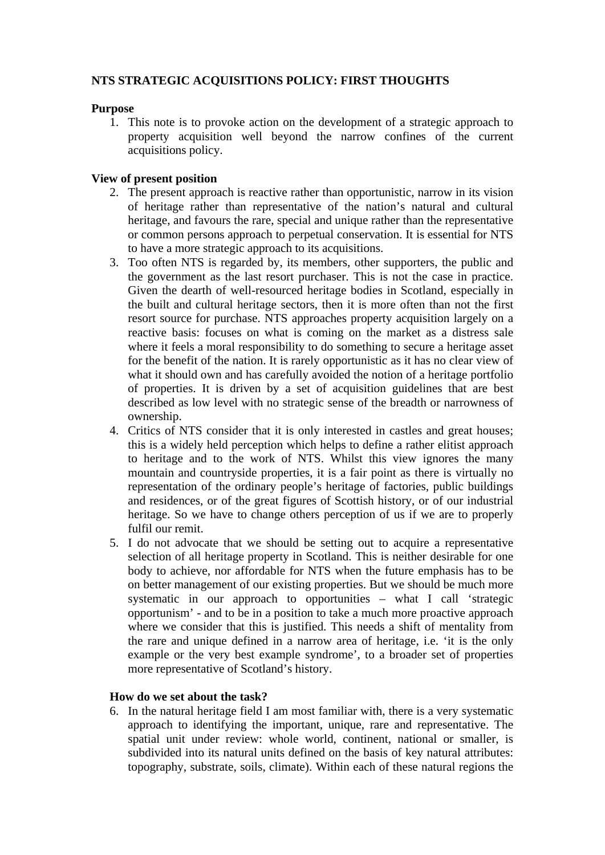# **NTS STRATEGIC ACQUISITIONS POLICY: FIRST THOUGHTS**

### **Purpose**

1. This note is to provoke action on the development of a strategic approach to property acquisition well beyond the narrow confines of the current acquisitions policy.

## **View of present position**

- 2. The present approach is reactive rather than opportunistic, narrow in its vision of heritage rather than representative of the nation's natural and cultural heritage, and favours the rare, special and unique rather than the representative or common persons approach to perpetual conservation. It is essential for NTS to have a more strategic approach to its acquisitions.
- 3. Too often NTS is regarded by, its members, other supporters, the public and the government as the last resort purchaser. This is not the case in practice. Given the dearth of well-resourced heritage bodies in Scotland, especially in the built and cultural heritage sectors, then it is more often than not the first resort source for purchase. NTS approaches property acquisition largely on a reactive basis: focuses on what is coming on the market as a distress sale where it feels a moral responsibility to do something to secure a heritage asset for the benefit of the nation. It is rarely opportunistic as it has no clear view of what it should own and has carefully avoided the notion of a heritage portfolio of properties. It is driven by a set of acquisition guidelines that are best described as low level with no strategic sense of the breadth or narrowness of ownership.
- 4. Critics of NTS consider that it is only interested in castles and great houses; this is a widely held perception which helps to define a rather elitist approach to heritage and to the work of NTS. Whilst this view ignores the many mountain and countryside properties, it is a fair point as there is virtually no representation of the ordinary people's heritage of factories, public buildings and residences, or of the great figures of Scottish history, or of our industrial heritage. So we have to change others perception of us if we are to properly fulfil our remit.
- 5. I do not advocate that we should be setting out to acquire a representative selection of all heritage property in Scotland. This is neither desirable for one body to achieve, nor affordable for NTS when the future emphasis has to be on better management of our existing properties. But we should be much more systematic in our approach to opportunities – what I call 'strategic opportunism' - and to be in a position to take a much more proactive approach where we consider that this is justified. This needs a shift of mentality from the rare and unique defined in a narrow area of heritage, i.e. 'it is the only example or the very best example syndrome', to a broader set of properties more representative of Scotland's history.

# **How do we set about the task?**

6. In the natural heritage field I am most familiar with, there is a very systematic approach to identifying the important, unique, rare and representative. The spatial unit under review: whole world, continent, national or smaller, is subdivided into its natural units defined on the basis of key natural attributes: topography, substrate, soils, climate). Within each of these natural regions the